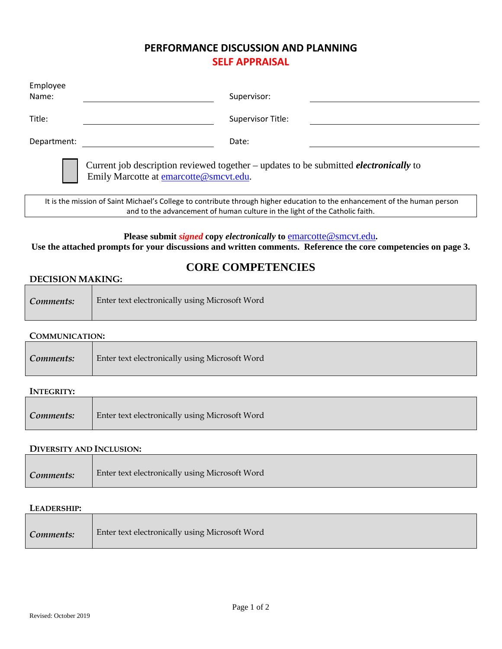## **PERFORMANCE DISCUSSION AND PLANNING SELF APPRAISAL**

| Employee                                                                                                                                       |                   |
|------------------------------------------------------------------------------------------------------------------------------------------------|-------------------|
| Name:                                                                                                                                          | Supervisor:       |
| Title:                                                                                                                                         | Supervisor Title: |
| Department:                                                                                                                                    | Date:             |
| Current job description reviewed together - updates to be submitted <i>electronically</i> to<br>Emily Marcotte at <b>emarcotte@smcvt.edu</b> . |                   |

It is the mission of Saint Michael's College to contribute through higher education to the enhancement of the human person and to the advancement of human culture in the light of the Catholic faith.

## **Please submit** *signed* **copy** *electronically* **to** [emarcotte@smcvt.edu](mailto:ethomas4@smcvt.edu)**.**

**Use the attached prompts for your discussions and written comments. Reference the core competencies on page 3.**

# **CORE COMPETENCIES**

## **DECISION MAKING:**

| Comments: | <b>Enter text electronically using Microsoft Word</b> |
|-----------|-------------------------------------------------------|
|-----------|-------------------------------------------------------|

## **COMMUNICATION:**

| Comments: | Enter text electronically using Microsoft Word |
|-----------|------------------------------------------------|
|-----------|------------------------------------------------|

#### **INTEGRITY:**

| Comments: | Enter text electronically using Microsoft Word |
|-----------|------------------------------------------------|
|-----------|------------------------------------------------|

#### **DIVERSITY AND INCLUSION:**

| Comments: | Enter text electronically using Microsoft Word |  |
|-----------|------------------------------------------------|--|
|           |                                                |  |

#### **LEADERSHIP:**

| Comments: | Enter text electronically using Microsoft Word |
|-----------|------------------------------------------------|
|-----------|------------------------------------------------|